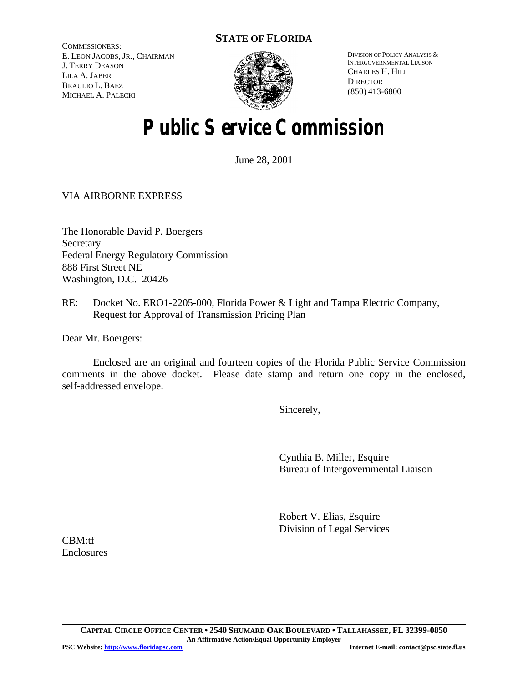## **STATE OF FLORIDA**

COMMISSIONERS: E. LEON JACOBS, JR., CHAIRMAN J. TERRY DEASON LILA A. JABER BRAULIO L. BAEZ MICHAEL A. PALECKI



DIVISION OF POLICY ANALYSIS & INTERGOVERNMENTAL LIAISON CHARLES H. HILL **DIRECTOR** (850) 413-6800

# **Public Service Commission**

June 28, 2001

### VIA AIRBORNE EXPRESS

The Honorable David P. Boergers **Secretary** Federal Energy Regulatory Commission 888 First Street NE Washington, D.C. 20426

RE: Docket No. ERO1-2205-000, Florida Power & Light and Tampa Electric Company, Request for Approval of Transmission Pricing Plan

Dear Mr. Boergers:

Enclosed are an original and fourteen copies of the Florida Public Service Commission comments in the above docket. Please date stamp and return one copy in the enclosed, self-addressed envelope.

Sincerely,

Cynthia B. Miller, Esquire Bureau of Intergovernmental Liaison

Robert V. Elias, Esquire Division of Legal Services

CBM:tf **Enclosures**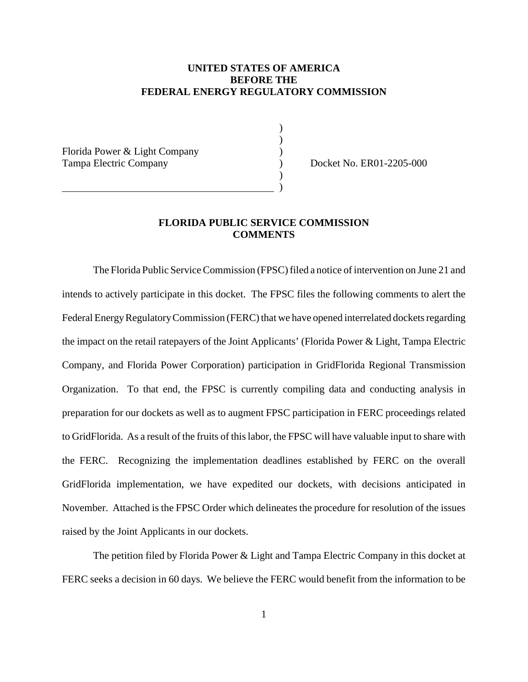#### **UNITED STATES OF AMERICA BEFORE THE FEDERAL ENERGY REGULATORY COMMISSION**

) )

)

Florida Power & Light Company ) Tampa Electric Company (and Company ) Docket No. ER01-2205-000

) and the contract of  $\overline{\phantom{a}}$  (  $\overline{\phantom{a}}$  )

## **FLORIDA PUBLIC SERVICE COMMISSION COMMENTS**

The Florida Public Service Commission (FPSC) filed a notice of intervention on June 21 and intends to actively participate in this docket. The FPSC files the following comments to alert the Federal Energy Regulatory Commission (FERC) that we have opened interrelated dockets regarding the impact on the retail ratepayers of the Joint Applicants' (Florida Power & Light, Tampa Electric Company, and Florida Power Corporation) participation in GridFlorida Regional Transmission Organization. To that end, the FPSC is currently compiling data and conducting analysis in preparation for our dockets as well as to augment FPSC participation in FERC proceedings related to GridFlorida. As a result of the fruits of this labor, the FPSC will have valuable input to share with the FERC. Recognizing the implementation deadlines established by FERC on the overall GridFlorida implementation, we have expedited our dockets, with decisions anticipated in November. Attached is the FPSC Order which delineates the procedure for resolution of the issues raised by the Joint Applicants in our dockets.

The petition filed by Florida Power & Light and Tampa Electric Company in this docket at FERC seeks a decision in 60 days. We believe the FERC would benefit from the information to be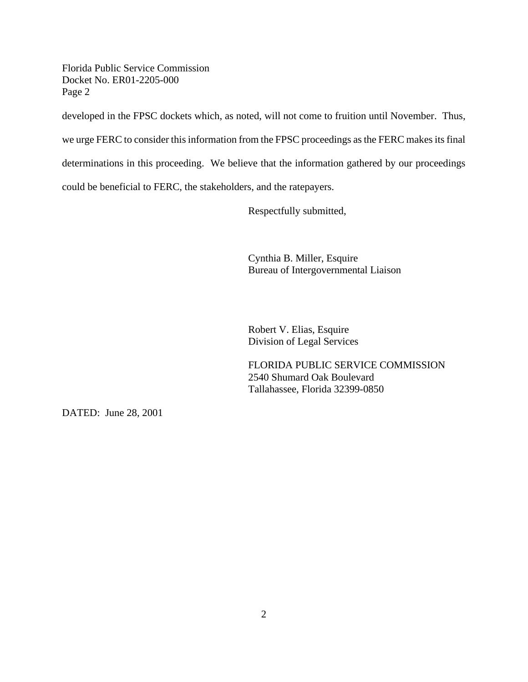Florida Public Service Commission Docket No. ER01-2205-000 Page 2

developed in the FPSC dockets which, as noted, will not come to fruition until November. Thus,

we urge FERC to consider this information from the FPSC proceedings as the FERC makes its final

determinations in this proceeding. We believe that the information gathered by our proceedings

could be beneficial to FERC, the stakeholders, and the ratepayers.

Respectfully submitted,

Cynthia B. Miller, Esquire Bureau of Intergovernmental Liaison

Robert V. Elias, Esquire Division of Legal Services

FLORIDA PUBLIC SERVICE COMMISSION 2540 Shumard Oak Boulevard Tallahassee, Florida 32399-0850

DATED: June 28, 2001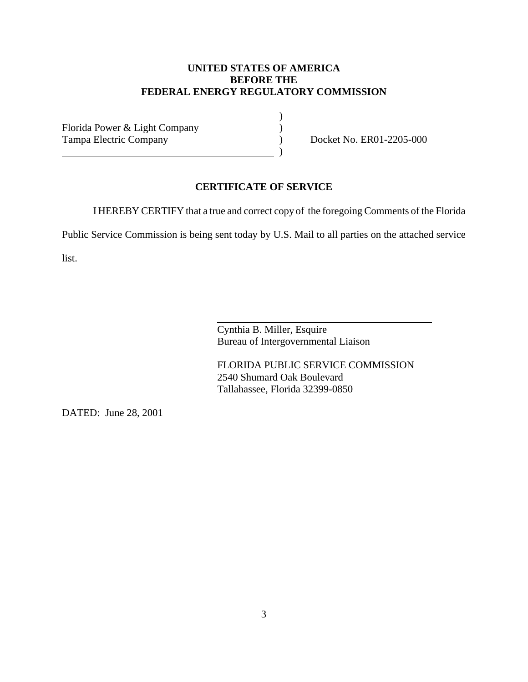### **UNITED STATES OF AMERICA BEFORE THE FEDERAL ENERGY REGULATORY COMMISSION**

Florida Power & Light Company (1994) Tampa Electric Company (and Company ) Docket No. ER01-2205-000

) and the contract of the contract of  $\overline{\phantom{a}}$ 

#### **CERTIFICATE OF SERVICE**

I HEREBY CERTIFY that a true and correct copy of the foregoing Comments of the Florida

)

Public Service Commission is being sent today by U.S. Mail to all parties on the attached service

 $\overline{a}$ 

list.

Cynthia B. Miller, Esquire Bureau of Intergovernmental Liaison

FLORIDA PUBLIC SERVICE COMMISSION 2540 Shumard Oak Boulevard Tallahassee, Florida 32399-0850

DATED: June 28, 2001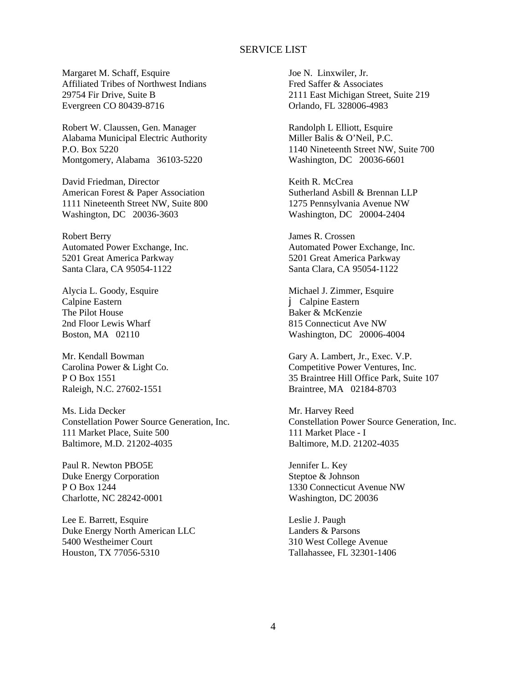#### SERVICE LIST

Margaret M. Schaff, Esquire Affiliated Tribes of Northwest Indians 29754 Fir Drive, Suite B Evergreen CO 80439-8716

Robert W. Claussen, Gen. Manager Alabama Municipal Electric Authority P.O. Box 5220 Montgomery, Alabama 36103-5220

David Friedman, Director American Forest & Paper Association 1111 Nineteenth Street NW, Suite 800 Washington, DC 20036-3603

Robert Berry Automated Power Exchange, Inc. 5201 Great America Parkway Santa Clara, CA 95054-1122

Alycia L. Goody, Esquire Calpine Eastern The Pilot House 2nd Floor Lewis Wharf Boston, MA 02110

Mr. Kendall Bowman Carolina Power & Light Co. P O Box 1551 Raleigh, N.C. 27602-1551

Ms. Lida Decker Constellation Power Source Generation, Inc. 111 Market Place, Suite 500 Baltimore, M.D. 21202-4035

Paul R. Newton PBO5E Duke Energy Corporation P O Box 1244 Charlotte, NC 28242-0001

Lee E. Barrett, Esquire Duke Energy North American LLC 5400 Westheimer Court Houston, TX 77056-5310

Joe N. Linxwiler, Jr. Fred Saffer & Associates 2111 East Michigan Street, Suite 219 Orlando, FL 328006-4983

Randolph L Elliott, Esquire Miller Balis & O'Neil, P.C. 1140 Nineteenth Street NW, Suite 700 Washington, DC 20036-6601

Keith R. McCrea Sutherland Asbill & Brennan LLP 1275 Pennsylvania Avenue NW Washington, DC 20004-2404

James R. Crossen Automated Power Exchange, Inc. 5201 Great America Parkway Santa Clara, CA 95054-1122

Michael J. Zimmer, Esquire j Calpine Eastern Baker & McKenzie 815 Connecticut Ave NW Washington, DC 20006-4004

Gary A. Lambert, Jr., Exec. V.P. Competitive Power Ventures, Inc. 35 Braintree Hill Office Park, Suite 107 Braintree, MA 02184-8703

Mr. Harvey Reed Constellation Power Source Generation, Inc. 111 Market Place - I Baltimore, M.D. 21202-4035

Jennifer L. Key Steptoe & Johnson 1330 Connecticut Avenue NW Washington, DC 20036

Leslie J. Paugh Landers & Parsons 310 West College Avenue Tallahassee, FL 32301-1406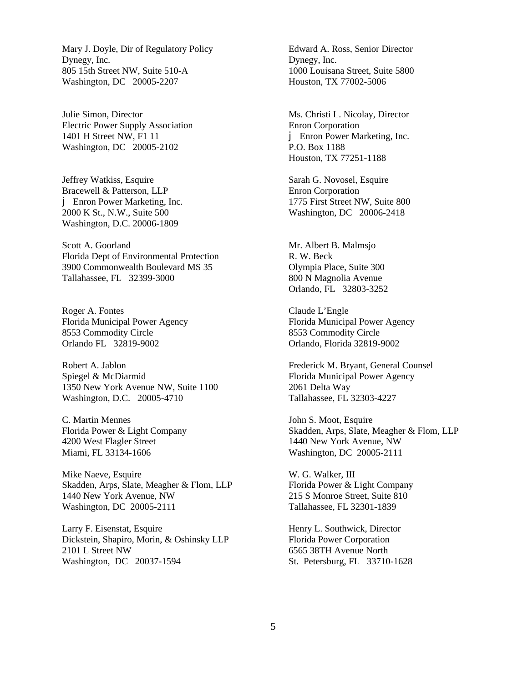Mary J. Doyle, Dir of Regulatory Policy Dynegy, Inc. 805 15th Street NW, Suite 510-A Washington, DC 20005-2207

Julie Simon, Director Electric Power Supply Association 1401 H Street NW, F1 11 Washington, DC 20005-2102

Jeffrey Watkiss, Esquire Bracewell & Patterson, LLP j Enron Power Marketing, Inc. 2000 K St., N.W., Suite 500 Washington, D.C. 20006-1809

Scott A. Goorland Florida Dept of Environmental Protection 3900 Commonwealth Boulevard MS 35 Tallahassee, FL 32399-3000

Roger A. Fontes Florida Municipal Power Agency 8553 Commodity Circle Orlando FL 32819-9002

Robert A. Jablon Spiegel & McDiarmid 1350 New York Avenue NW, Suite 1100 Washington, D.C. 20005-4710

C. Martin Mennes Florida Power & Light Company 4200 West Flagler Street Miami, FL 33134-1606

Mike Naeve, Esquire Skadden, Arps, Slate, Meagher & Flom, LLP 1440 New York Avenue, NW Washington, DC 20005-2111

Larry F. Eisenstat, Esquire Dickstein, Shapiro, Morin, & Oshinsky LLP 2101 L Street NW Washington, DC 20037-1594

Edward A. Ross, Senior Director Dynegy, Inc. 1000 Louisana Street, Suite 5800 Houston, TX 77002-5006

Ms. Christi L. Nicolay, Director Enron Corporation j Enron Power Marketing, Inc. P.O. Box 1188 Houston, TX 77251-1188

Sarah G. Novosel, Esquire Enron Corporation 1775 First Street NW, Suite 800 Washington, DC 20006-2418

Mr. Albert B. Malmsjo R. W. Beck Olympia Place, Suite 300 800 N Magnolia Avenue Orlando, FL 32803-3252

Claude L'Engle Florida Municipal Power Agency 8553 Commodity Circle Orlando, Florida 32819-9002

Frederick M. Bryant, General Counsel Florida Municipal Power Agency 2061 Delta Way Tallahassee, FL 32303-4227

John S. Moot, Esquire Skadden, Arps, Slate, Meagher & Flom, LLP 1440 New York Avenue, NW Washington, DC 20005-2111

W. G. Walker, III Florida Power & Light Company 215 S Monroe Street, Suite 810 Tallahassee, FL 32301-1839

Henry L. Southwick, Director Florida Power Corporation 6565 38TH Avenue North St. Petersburg, FL 33710-1628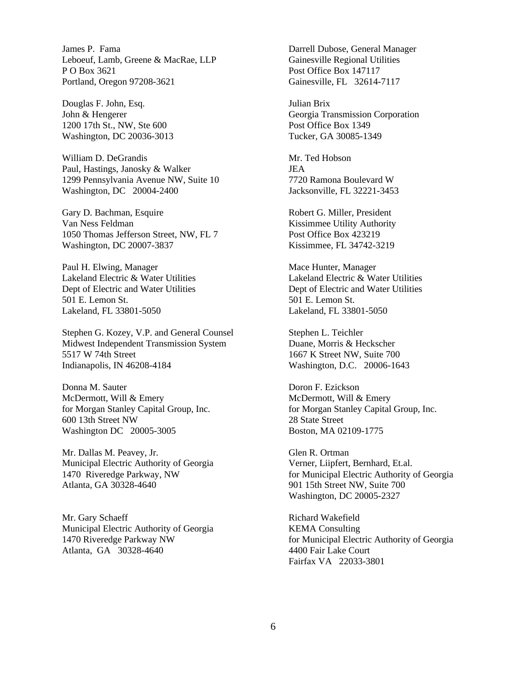James P. Fama Leboeuf, Lamb, Greene & MacRae, LLP P O Box 3621 Portland, Oregon 97208-3621

Douglas F. John, Esq. John & Hengerer 1200 17th St., NW, Ste 600 Washington, DC 20036-3013

William D. DeGrandis Paul, Hastings, Janosky & Walker 1299 Pennsylvania Avenue NW, Suite 10 Washington, DC 20004-2400

Gary D. Bachman, Esquire Van Ness Feldman 1050 Thomas Jefferson Street, NW, FL 7 Washington, DC 20007-3837

Paul H. Elwing, Manager Lakeland Electric & Water Utilities Dept of Electric and Water Utilities 501 E. Lemon St. Lakeland, FL 33801-5050

Stephen G. Kozey, V.P. and General Counsel Midwest Independent Transmission System 5517 W 74th Street Indianapolis, IN 46208-4184

Donna M. Sauter McDermott, Will & Emery for Morgan Stanley Capital Group, Inc. 600 13th Street NW Washington DC 20005-3005

Mr. Dallas M. Peavey, Jr. Municipal Electric Authority of Georgia 1470 Riveredge Parkway, NW Atlanta, GA 30328-4640

Mr. Gary Schaeff Municipal Electric Authority of Georgia 1470 Riveredge Parkway NW Atlanta, GA 30328-4640

Darrell Dubose, General Manager Gainesville Regional Utilities Post Office Box 147117 Gainesville, FL 32614-7117

Julian Brix Georgia Transmission Corporation Post Office Box 1349 Tucker, GA 30085-1349

Mr. Ted Hobson JEA 7720 Ramona Boulevard W Jacksonville, FL 32221-3453

Robert G. Miller, President Kissimmee Utility Authority Post Office Box 423219 Kissimmee, FL 34742-3219

Mace Hunter, Manager Lakeland Electric & Water Utilities Dept of Electric and Water Utilities 501 E. Lemon St. Lakeland, FL 33801-5050

Stephen L. Teichler Duane, Morris & Heckscher 1667 K Street NW, Suite 700 Washington, D.C. 20006-1643

Doron F. Ezickson McDermott, Will & Emery for Morgan Stanley Capital Group, Inc. 28 State Street Boston, MA 02109-1775

Glen R. Ortman Verner, Liipfert, Bernhard, Et.al. for Municipal Electric Authority of Georgia 901 15th Street NW, Suite 700 Washington, DC 20005-2327

Richard Wakefield KEMA Consulting for Municipal Electric Authority of Georgia 4400 Fair Lake Court Fairfax VA 22033-3801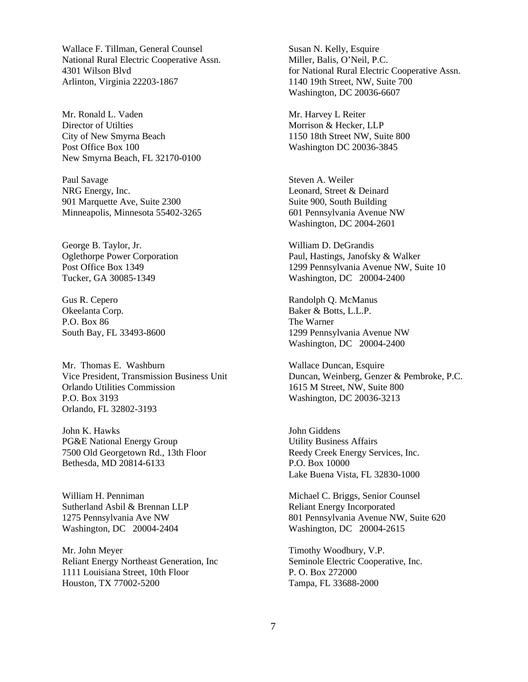Wallace F. Tillman, General Counsel National Rural Electric Cooperative Assn. 4301 Wilson Blvd Arlinton, Virginia 22203-1867

Mr. Ronald L. Vaden Director of Utilties City of New Smyrna Beach Post Office Box 100 New Smyrna Beach, FL 32170-0100

Paul Savage NRG Energy, Inc. 901 Marquette Ave, Suite 2300 Minneapolis, Minnesota 55402-3265

George B. Taylor, Jr. Oglethorpe Power Corporation Post Office Box 1349 Tucker, GA 30085-1349

Gus R. Cepero Okeelanta Corp. P.O. Box 86 South Bay, FL 33493-8600

Mr. Thomas E. Washburn Vice President, Transmission Business Unit Orlando Utilities Commission P.O. Box 3193 Orlando, FL 32802-3193

John K. Hawks PG&E National Energy Group 7500 Old Georgetown Rd., 13th Floor Bethesda, MD 20814-6133

William H. Penniman Sutherland Asbil & Brennan LLP 1275 Pennsylvania Ave NW Washington, DC 20004-2404

Mr. John Meyer Reliant Energy Northeast Generation, Inc 1111 Louisiana Street, 10th Floor Houston, TX 77002-5200

Susan N. Kelly, Esquire Miller, Balis, O'Neil, P.C. for National Rural Electric Cooperative Assn. 1140 19th Street, NW, Suite 700 Washington, DC 20036-6607

Mr. Harvey L Reiter Morrison & Hecker, LLP 1150 18th Street NW, Suite 800 Washington DC 20036-3845

Steven A. Weiler Leonard, Street & Deinard Suite 900, South Building 601 Pennsylvania Avenue NW Washington, DC 2004-2601

William D. DeGrandis Paul, Hastings, Janofsky & Walker 1299 Pennsylvania Avenue NW, Suite 10 Washington, DC 20004-2400

Randolph Q. McManus Baker & Botts, L.L.P. The Warner 1299 Pennsylvania Avenue NW Washington, DC 20004-2400

Wallace Duncan, Esquire Duncan, Weinberg, Genzer & Pembroke, P.C. 1615 M Street, NW, Suite 800 Washington, DC 20036-3213

John Giddens Utility Business Affairs Reedy Creek Energy Services, Inc. P.O. Box 10000 Lake Buena Vista, FL 32830-1000

Michael C. Briggs, Senior Counsel Reliant Energy Incorporated 801 Pennsylvania Avenue NW, Suite 620 Washington, DC 20004-2615

Timothy Woodbury, V.P. Seminole Electric Cooperative, Inc. P. O. Box 272000 Tampa, FL 33688-2000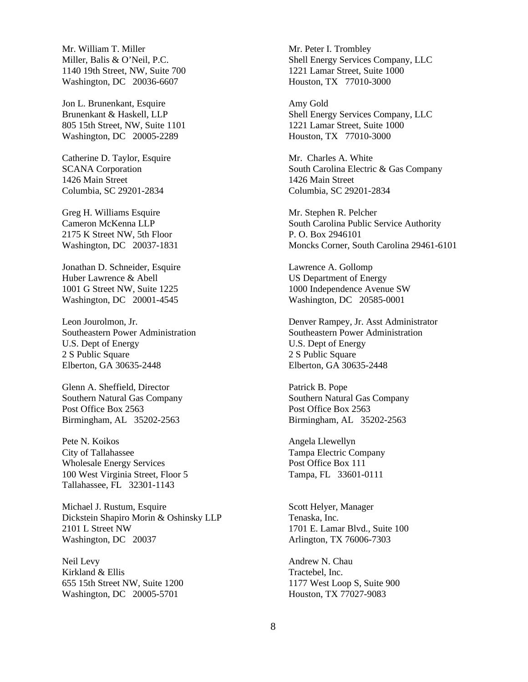Mr. William T. Miller Miller, Balis & O'Neil, P.C. 1140 19th Street, NW, Suite 700 Washington, DC 20036-6607

Jon L. Brunenkant, Esquire Brunenkant & Haskell, LLP 805 15th Street, NW, Suite 1101 Washington, DC 20005-2289

Catherine D. Taylor, Esquire SCANA Corporation 1426 Main Street Columbia, SC 29201-2834

Greg H. Williams Esquire Cameron McKenna LLP 2175 K Street NW, 5th Floor Washington, DC 20037-1831

Jonathan D. Schneider, Esquire Huber Lawrence & Abell 1001 G Street NW, Suite 1225 Washington, DC 20001-4545

Leon Jourolmon, Jr. Southeastern Power Administration U.S. Dept of Energy 2 S Public Square Elberton, GA 30635-2448

Glenn A. Sheffield, Director Southern Natural Gas Company Post Office Box 2563 Birmingham, AL 35202-2563

Pete N. Koikos City of Tallahassee Wholesale Energy Services 100 West Virginia Street, Floor 5 Tallahassee, FL 32301-1143

Michael J. Rustum, Esquire Dickstein Shapiro Morin & Oshinsky LLP 2101 L Street NW Washington, DC 20037

Neil Levy Kirkland & Ellis 655 15th Street NW, Suite 1200 Washington, DC 20005-5701

Mr. Peter I. Trombley Shell Energy Services Company, LLC 1221 Lamar Street, Suite 1000 Houston, TX 77010-3000

Amy Gold Shell Energy Services Company, LLC 1221 Lamar Street, Suite 1000 Houston, TX 77010-3000

Mr. Charles A. White South Carolina Electric & Gas Company 1426 Main Street Columbia, SC 29201-2834

Mr. Stephen R. Pelcher South Carolina Public Service Authority P. O. Box 2946101 Moncks Corner, South Carolina 29461-6101

Lawrence A. Gollomp US Department of Energy 1000 Independence Avenue SW Washington, DC 20585-0001

Denver Rampey, Jr. Asst Administrator Southeastern Power Administration U.S. Dept of Energy 2 S Public Square Elberton, GA 30635-2448

Patrick B. Pope Southern Natural Gas Company Post Office Box 2563 Birmingham, AL 35202-2563

Angela Llewellyn Tampa Electric Company Post Office Box 111 Tampa, FL 33601-0111

Scott Helyer, Manager Tenaska, Inc. 1701 E. Lamar Blvd., Suite 100 Arlington, TX 76006-7303

Andrew N. Chau Tractebel, Inc. 1177 West Loop S, Suite 900 Houston, TX 77027-9083